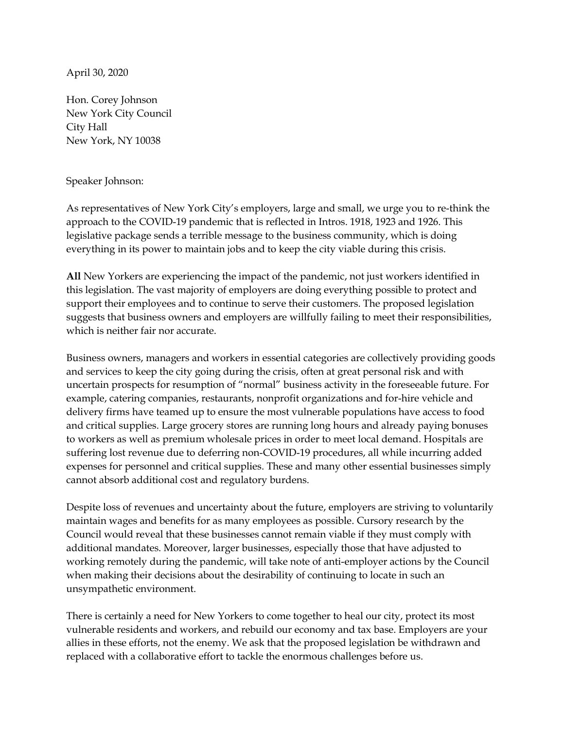April 30, 2020

Hon. Corey Johnson New York City Council City Hall New York, NY 10038

## Speaker Johnson:

As representatives of New York City's employers, large and small, we urge you to re-think the approach to the COVID-19 pandemic that is reflected in Intros. 1918, 1923 and 1926. This legislative package sends a terrible message to the business community, which is doing everything in its power to maintain jobs and to keep the city viable during this crisis.

**All** New Yorkers are experiencing the impact of the pandemic, not just workers identified in this legislation. The vast majority of employers are doing everything possible to protect and support their employees and to continue to serve their customers. The proposed legislation suggests that business owners and employers are willfully failing to meet their responsibilities, which is neither fair nor accurate.

Business owners, managers and workers in essential categories are collectively providing goods and services to keep the city going during the crisis, often at great personal risk and with uncertain prospects for resumption of "normal" business activity in the foreseeable future. For example, catering companies, restaurants, nonprofit organizations and for-hire vehicle and delivery firms have teamed up to ensure the most vulnerable populations have access to food and critical supplies. Large grocery stores are running long hours and already paying bonuses to workers as well as premium wholesale prices in order to meet local demand. Hospitals are suffering lost revenue due to deferring non-COVID-19 procedures, all while incurring added expenses for personnel and critical supplies. These and many other essential businesses simply cannot absorb additional cost and regulatory burdens.

Despite loss of revenues and uncertainty about the future, employers are striving to voluntarily maintain wages and benefits for as many employees as possible. Cursory research by the Council would reveal that these businesses cannot remain viable if they must comply with additional mandates. Moreover, larger businesses, especially those that have adjusted to working remotely during the pandemic, will take note of anti-employer actions by the Council when making their decisions about the desirability of continuing to locate in such an unsympathetic environment.

There is certainly a need for New Yorkers to come together to heal our city, protect its most vulnerable residents and workers, and rebuild our economy and tax base. Employers are your allies in these efforts, not the enemy. We ask that the proposed legislation be withdrawn and replaced with a collaborative effort to tackle the enormous challenges before us.